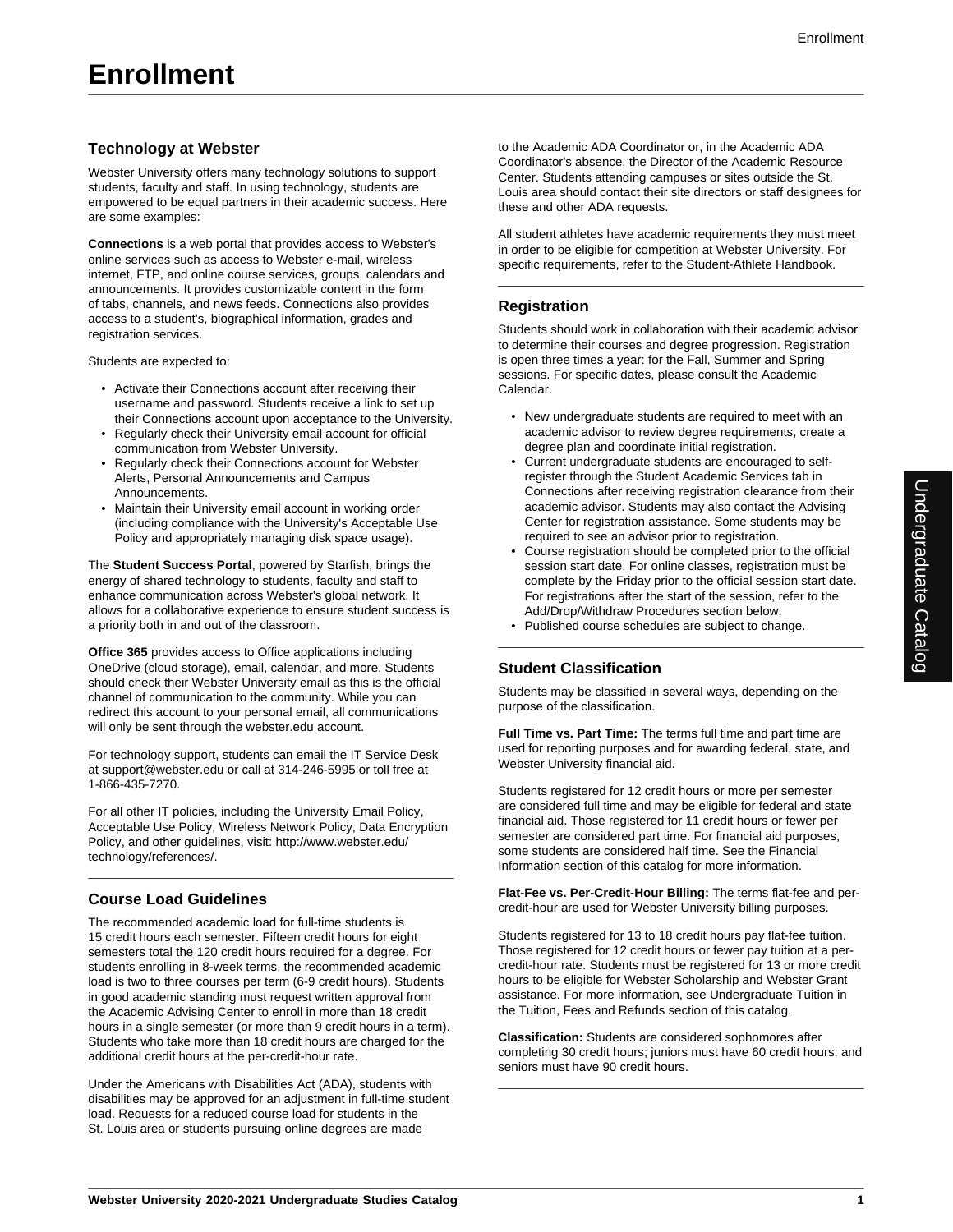## **Technology at Webster**

Webster University offers many technology solutions to support students, faculty and staff. In using technology, students are empowered to be equal partners in their academic success. Here are some examples:

**Connections** is a web portal that provides access to Webster's online services such as access to Webster e-mail, wireless internet, FTP, and online course services, groups, calendars and announcements. It provides customizable content in the form of tabs, channels, and news feeds. Connections also provides access to a student's, biographical information, grades and registration services.

Students are expected to:

- Activate their Connections account after receiving their username and password. Students receive a link to set up their Connections account upon acceptance to the University.
- Regularly check their University email account for official communication from Webster University.
- Regularly check their Connections account for Webster Alerts, Personal Announcements and Campus Announcements.
- Maintain their University email account in working order (including compliance with the University's Acceptable Use Policy and appropriately managing disk space usage).

The **Student Success Portal**, powered by Starfish, brings the energy of shared technology to students, faculty and staff to enhance communication across Webster's global network. It allows for a collaborative experience to ensure student success is a priority both in and out of the classroom.

**Office 365** provides access to Office applications including OneDrive (cloud storage), email, calendar, and more. Students should check their Webster University email as this is the official channel of communication to the community. While you can redirect this account to your personal email, all communications will only be sent through the webster.edu account.

For technology support, students can email the IT Service Desk at support@webster.edu or call at 314-246-5995 or toll free at 1-866-435-7270.

For all other IT policies, including the University Email Policy, Acceptable Use Policy, Wireless Network Policy, Data Encryption Policy, and other guidelines, visit: http://www.webster.edu/ technology/references/.

## **Course Load Guidelines**

The recommended academic load for full-time students is 15 credit hours each semester. Fifteen credit hours for eight semesters total the 120 credit hours required for a degree. For students enrolling in 8-week terms, the recommended academic load is two to three courses per term (6-9 credit hours). Students in good academic standing must request written approval from the Academic Advising Center to enroll in more than 18 credit hours in a single semester (or more than 9 credit hours in a term). Students who take more than 18 credit hours are charged for the additional credit hours at the per-credit-hour rate.

Under the Americans with Disabilities Act (ADA), students with disabilities may be approved for an adjustment in full-time student load. Requests for a reduced course load for students in the St. Louis area or students pursuing online degrees are made

to the Academic ADA Coordinator or, in the Academic ADA Coordinator's absence, the Director of the Academic Resource Center. Students attending campuses or sites outside the St. Louis area should contact their site directors or staff designees for these and other ADA requests.

All student athletes have academic requirements they must meet in order to be eligible for competition at Webster University. For specific requirements, refer to the Student-Athlete Handbook.

#### **Registration**

Students should work in collaboration with their academic advisor to determine their courses and degree progression. Registration is open three times a year: for the Fall, Summer and Spring sessions. For specific dates, please consult the Academic Calendar.

- New undergraduate students are required to meet with an academic advisor to review degree requirements, create a degree plan and coordinate initial registration.
- Current undergraduate students are encouraged to selfregister through the Student Academic Services tab in Connections after receiving registration clearance from their academic advisor. Students may also contact the Advising Center for registration assistance. Some students may be required to see an advisor prior to registration.
- Course registration should be completed prior to the official session start date. For online classes, registration must be complete by the Friday prior to the official session start date. For registrations after the start of the session, refer to the Add/Drop/Withdraw Procedures section below.
- Published course schedules are subject to change.

#### **Student Classification**

Students may be classified in several ways, depending on the purpose of the classification.

**Full Time vs. Part Time:** The terms full time and part time are used for reporting purposes and for awarding federal, state, and Webster University financial aid.

Students registered for 12 credit hours or more per semester are considered full time and may be eligible for federal and state financial aid. Those registered for 11 credit hours or fewer per semester are considered part time. For financial aid purposes, some students are considered half time. See the Financial Information section of this catalog for more information.

**Flat-Fee vs. Per-Credit-Hour Billing:** The terms flat-fee and percredit-hour are used for Webster University billing purposes.

Students registered for 13 to 18 credit hours pay flat-fee tuition. Those registered for 12 credit hours or fewer pay tuition at a percredit-hour rate. Students must be registered for 13 or more credit hours to be eligible for Webster Scholarship and Webster Grant assistance. For more information, see Undergraduate Tuition in the Tuition, Fees and Refunds section of this catalog.

**Classification:** Students are considered sophomores after completing 30 credit hours; juniors must have 60 credit hours; and seniors must have 90 credit hours.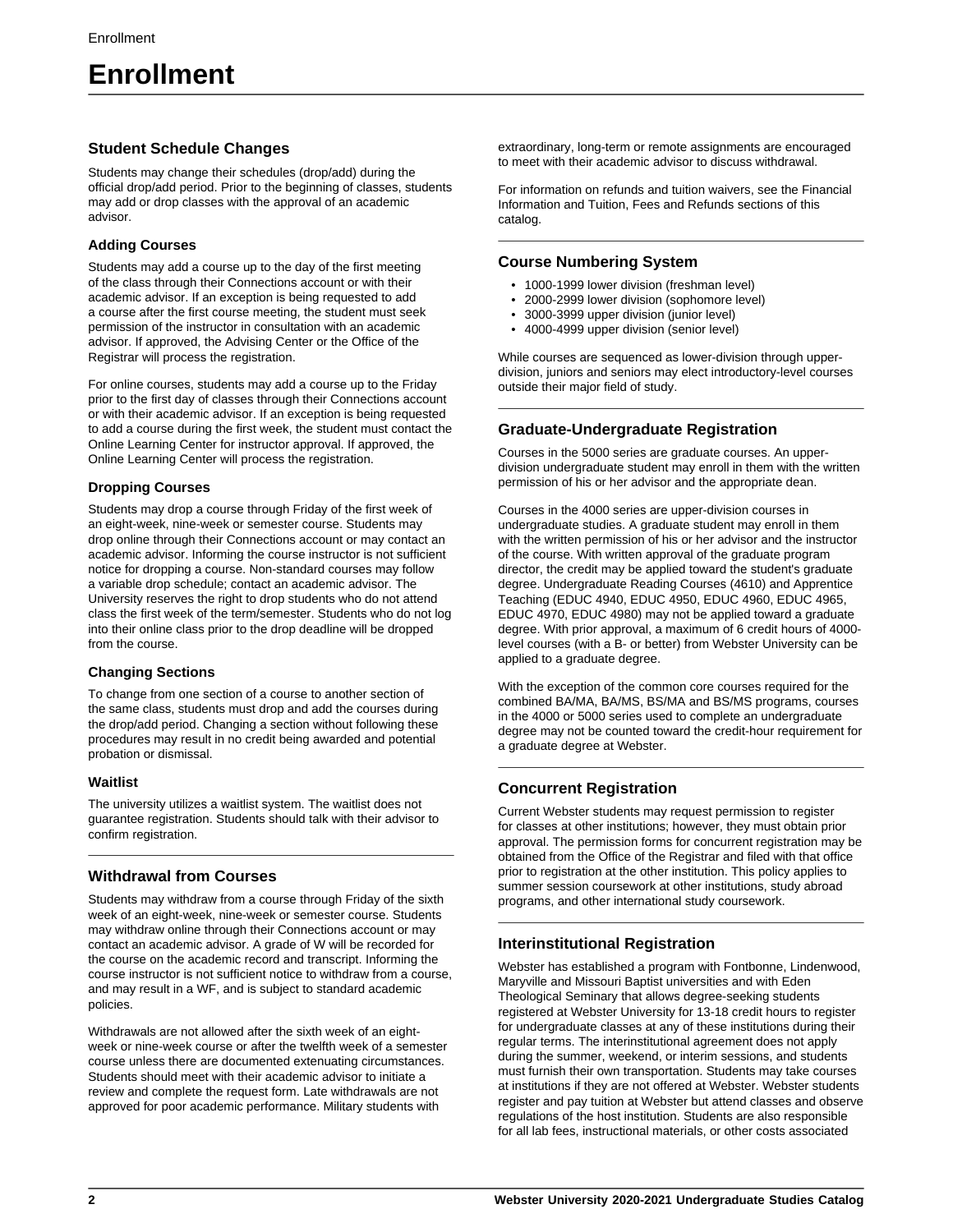# **Enrollment**

#### **Student Schedule Changes**

Students may change their schedules (drop/add) during the official drop/add period. Prior to the beginning of classes, students may add or drop classes with the approval of an academic advisor.

#### **Adding Courses**

Students may add a course up to the day of the first meeting of the class through their Connections account or with their academic advisor. If an exception is being requested to add a course after the first course meeting, the student must seek permission of the instructor in consultation with an academic advisor. If approved, the Advising Center or the Office of the Registrar will process the registration.

For online courses, students may add a course up to the Friday prior to the first day of classes through their Connections account or with their academic advisor. If an exception is being requested to add a course during the first week, the student must contact the Online Learning Center for instructor approval. If approved, the Online Learning Center will process the registration.

#### **Dropping Courses**

Students may drop a course through Friday of the first week of an eight-week, nine-week or semester course. Students may drop online through their Connections account or may contact an academic advisor. Informing the course instructor is not sufficient notice for dropping a course. Non-standard courses may follow a variable drop schedule; contact an academic advisor. The University reserves the right to drop students who do not attend class the first week of the term/semester. Students who do not log into their online class prior to the drop deadline will be dropped from the course.

#### **Changing Sections**

To change from one section of a course to another section of the same class, students must drop and add the courses during the drop/add period. Changing a section without following these procedures may result in no credit being awarded and potential probation or dismissal.

#### **Waitlist**

The university utilizes a waitlist system. The waitlist does not guarantee registration. Students should talk with their advisor to confirm registration.

## **Withdrawal from Courses**

Students may withdraw from a course through Friday of the sixth week of an eight-week, nine-week or semester course. Students may withdraw online through their Connections account or may contact an academic advisor. A grade of W will be recorded for the course on the academic record and transcript. Informing the course instructor is not sufficient notice to withdraw from a course, and may result in a WF, and is subject to standard academic policies.

Withdrawals are not allowed after the sixth week of an eightweek or nine-week course or after the twelfth week of a semester course unless there are documented extenuating circumstances. Students should meet with their academic advisor to initiate a review and complete the request form. Late withdrawals are not approved for poor academic performance. Military students with

extraordinary, long-term or remote assignments are encouraged to meet with their academic advisor to discuss withdrawal.

For information on refunds and tuition waivers, see the Financial Information and Tuition, Fees and Refunds sections of this catalog.

## **Course Numbering System**

- 1000-1999 lower division (freshman level)
- 2000-2999 lower division (sophomore level)
- 3000-3999 upper division (junior level)
- 4000-4999 upper division (senior level)

While courses are sequenced as lower-division through upperdivision, juniors and seniors may elect introductory-level courses outside their major field of study.

## **Graduate-Undergraduate Registration**

Courses in the 5000 series are graduate courses. An upperdivision undergraduate student may enroll in them with the written permission of his or her advisor and the appropriate dean.

Courses in the 4000 series are upper-division courses in undergraduate studies. A graduate student may enroll in them with the written permission of his or her advisor and the instructor of the course. With written approval of the graduate program director, the credit may be applied toward the student's graduate degree. Undergraduate Reading Courses (4610) and Apprentice Teaching (EDUC 4940, EDUC 4950, EDUC 4960, EDUC 4965, EDUC 4970, EDUC 4980) may not be applied toward a graduate degree. With prior approval, a maximum of 6 credit hours of 4000 level courses (with a B- or better) from Webster University can be applied to a graduate degree.

With the exception of the common core courses required for the combined BA/MA, BA/MS, BS/MA and BS/MS programs, courses in the 4000 or 5000 series used to complete an undergraduate degree may not be counted toward the credit-hour requirement for a graduate degree at Webster.

## **Concurrent Registration**

Current Webster students may request permission to register for classes at other institutions; however, they must obtain prior approval. The permission forms for concurrent registration may be obtained from the Office of the Registrar and filed with that office prior to registration at the other institution. This policy applies to summer session coursework at other institutions, study abroad programs, and other international study coursework.

## **Interinstitutional Registration**

Webster has established a program with Fontbonne, Lindenwood, Maryville and Missouri Baptist universities and with Eden Theological Seminary that allows degree-seeking students registered at Webster University for 13-18 credit hours to register for undergraduate classes at any of these institutions during their regular terms. The interinstitutional agreement does not apply during the summer, weekend, or interim sessions, and students must furnish their own transportation. Students may take courses at institutions if they are not offered at Webster. Webster students register and pay tuition at Webster but attend classes and observe regulations of the host institution. Students are also responsible for all lab fees, instructional materials, or other costs associated